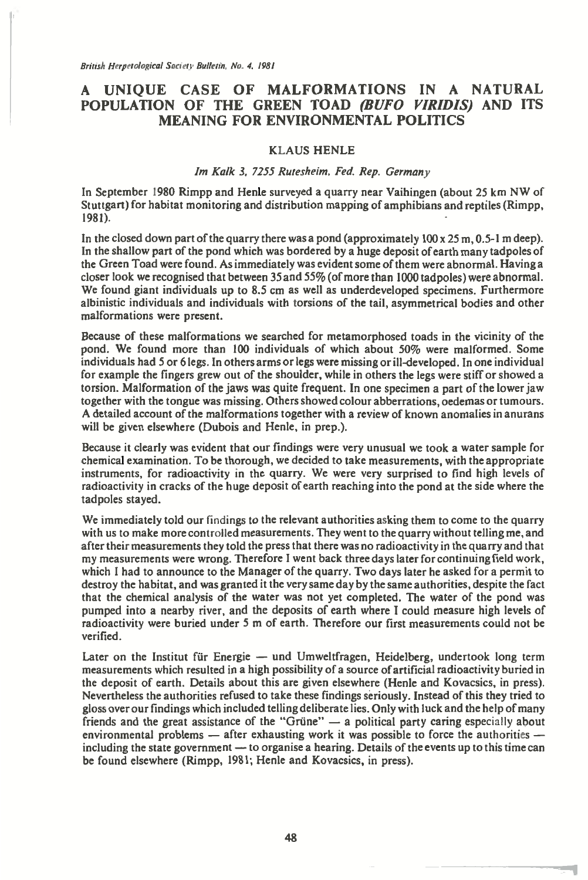British Herpetological Society Bulletin, No. 4, 1981

# **A UNIQUE CASE OF MALFORMATIONS IN A NATURAL POPULATION OF THE GREEN TOAD** *(BUFO VIRIDIS)* **AND ITS MEANING FOR ENVIRONMENTAL POLITICS**

## KLAUS HENLE

### *Im Kalk 3, 7255 Rutesheim, Fed. Rep. Germany*

In September 1980 Rimpp and Henle surveyed a quarry near Vaihingen (about 25 km NW of Stuttgart) for habitat monitoring and distribution mapping of amphibians and reptiles (Rimpp, 1981).

In the closed down part of the quarry there was a pond (approximately  $100 \times 25$  m, 0.5-1 m deep). In the shallow part of the pond which was bordered by a huge deposit of earth many tadpoles of the Green Toad were found. As immediately was evident some of them were abnormal. Having a closer look we recognised that between 35 and 55% (of more than 1000 tadpoles) were abnormal. We found giant individuals up to 8.5 cm as well as underdeveloped specimens. Furthermore albinistic individuals and individuals with torsions of the tail, asymmetrical bodies and other malformations were present.

Because of these malformations we searched for metamorphosed toads in the vicinity of the pond. We found more than 100 individuals of which about 50% were malformed. Some individuals had 5 or 6 legs. In others arms or legs were missing or ill-developed. In one individual for example the fingers grew out of the shoulder, while in others the legs were stiff or showed a torsion. Malformation of the jaws was quite frequent. In one specimen a part of the lower jaw together with the tongue was missing. Others showed colour abberrations, oedemas or tumours. A detailed account of the malformations together with a review of known anomalies in anurans will be given elsewhere (Dubois and Henle, in prep.).

Because it clearly was evident that our findings were very unusual we took a water sample for chemical examination. To be thorough, we decided to take measurements, with the appropriate instruments, for radioactivity in the quarry. We were very surprised to find high levels of radioactivity in cracks of the huge deposit of earth reaching into the pond at the side where the tadpoles stayed.

We immediately told our findings to the relevant authorities asking them to come to the quarry with us to make more controlled measurements. They went to the quarry without telling me, and after their measurements they told the press that there was no radioactivity in the quarry and that after their measurements they told the press that there was no radioactivity in the quarry and that my measurements were wrong. Therefore I went back three days later for continuing field work, my measurements were wrong. Therefore I went back three days later for continuing field work, which I had to announce to the Manager of the quarry. Two days later he asked for a permit to destroy the habitat, and was granted it the very same day by the same authorities, despite the fact that the chemical analysis of the water was not yet completed. The water of the pond was pumped into a nearby river, and the deposits of earth where I could measure high levels of pumped into a nearby river, and the deposi radioactivity were buried under 5 m of earth. Therefore our first measurements could not be verified.

Later on the Institut für Energie — und Umweltfragen, Heidelberg, undertook long term measurements which resulted in a high possibility of a source of artificial radioactivity buried in the deposit of earth. Details about this are given elsewhere (Henle and Kovacsics, in press). Nevertheless the authorities refused to take these findings seriously. Instead of this they tried to gloss over our findings which included telling deliberate lies. Only with luck and the help of many friends and the great assistance of the "Griine" — a political party caring especially about environmental problems  $-$  after exhausting work it was possible to force the authorites  $$ including the state government — to organise a hearing. Details of the events up to this time can be found elsewhere (Rimpp, 1981; Henle and Kovacsics, in press).